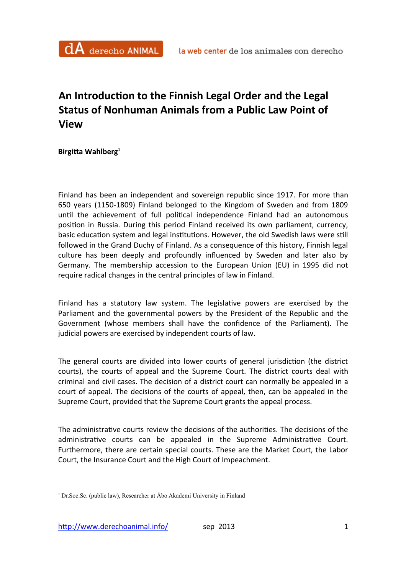## An Introduction to the Finnish Legal Order and the Legal **Status of Nonhuman Animals from a Public Law Point of View**

**Birgitta Wahlberg**<sup>1</sup>

Finland has been an independent and sovereign republic since 1917. For more than 650 years (1150-1809) Finland belonged to the Kingdom of Sweden and from 1809 until the achievement of full political independence Finland had an autonomous position in Russia. During this period Finland received its own parliament, currency, basic education system and legal institutions. However, the old Swedish laws were still followed in the Grand Duchy of Finland. As a consequence of this history, Finnish legal culture has been deeply and profoundly influenced by Sweden and later also by Germany. The membership accession to the European Union (EU) in 1995 did not require radical changes in the central principles of law in Finland.

Finland has a statutory law system. The legislative powers are exercised by the Parliament and the governmental powers by the President of the Republic and the Government (whose members shall have the confidence of the Parliament). The judicial powers are exercised by independent courts of law.

The general courts are divided into lower courts of general jurisdiction (the district courts), the courts of appeal and the Supreme Court. The district courts deal with criminal and civil cases. The decision of a district court can normally be appealed in a court of appeal. The decisions of the courts of appeal, then, can be appealed in the Supreme Court, provided that the Supreme Court grants the appeal process.

The administrative courts review the decisions of the authorities. The decisions of the administrative courts can be appealed in the Supreme Administrative Court. Furthermore, there are certain special courts. These are the Market Court, the Labor Court, the Insurance Court and the High Court of Impeachment.

<sup>&</sup>lt;sup>1</sup> Dr.Soc.Sc. (public law), Researcher at Åbo Akademi University in Finland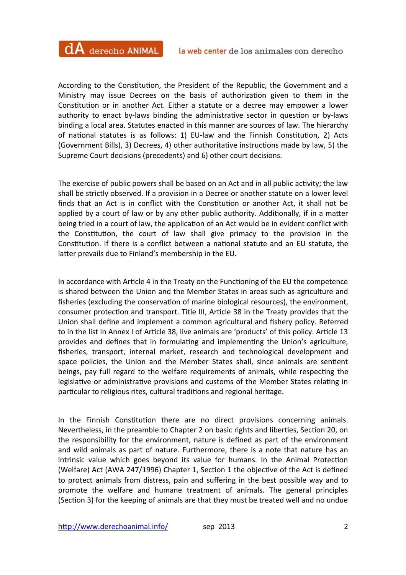According to the Constitution, the President of the Republic, the Government and a Ministry may issue Decrees on the basis of authorization given to them in the Constitution or in another Act. Either a statute or a decree may empower a lower authority to enact by-laws binding the administrative sector in question or by-laws binding a local area. Statutes enacted in this manner are sources of law. The hierarchy of national statutes is as follows: 1) EU-law and the Finnish Constitution, 2) Acts (Government Bills), 3) Decrees, 4) other authoritative instructions made by law, 5) the Supreme Court decisions (precedents) and 6) other court decisions.

The exercise of public powers shall be based on an Act and in all public activity; the law shall be strictly observed. If a provision in a Decree or another statute on a lower level finds that an Act is in conflict with the Constitution or another Act, it shall not be applied by a court of law or by any other public authority. Additionally, if in a matter being tried in a court of law, the application of an Act would be in evident conflict with the Constitution, the court of law shall give primacy to the provision in the Constitution. If there is a conflict between a national statute and an EU statute, the latter prevails due to Finland's membership in the EU.

In accordance with Article 4 in the Treaty on the Functioning of the EU the competence is shared between the Union and the Member States in areas such as agriculture and fisheries (excluding the conservation of marine biological resources), the environment, consumer protection and transport. Title III, Article 38 in the Treaty provides that the Union shall define and implement a common agricultural and fishery policy. Referred to in the list in Annex I of Article 38, live animals are 'products' of this policy. Article 13 provides and defines that in formulating and implementing the Union's agriculture, fisheries, transport, internal market, research and technological development and space policies, the Union and the Member States shall, since animals are sentient beings, pay full regard to the welfare requirements of animals, while respecting the legislative or administrative provisions and customs of the Member States relating in particular to religious rites, cultural traditions and regional heritage.

In the Finnish Constitution there are no direct provisions concerning animals. Nevertheless, in the preamble to Chapter 2 on basic rights and liberties, Section 20, on the responsibility for the environment, nature is defined as part of the environment and wild animals as part of nature. Furthermore, there is a note that nature has an intrinsic value which goes beyond its value for humans. In the Animal Protection (Welfare) Act (AWA 247/1996) Chapter 1, Section 1 the objective of the Act is defined to protect animals from distress, pain and suffering in the best possible way and to promote the welfare and humane treatment of animals. The general principles (Section 3) for the keeping of animals are that they must be treated well and no undue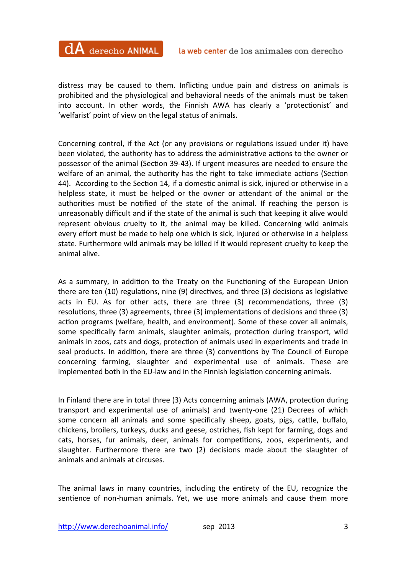distress may be caused to them. Inflicting undue pain and distress on animals is prohibited and the physiological and behavioral needs of the animals must be taken into account. In other words, the Finnish AWA has clearly a 'protectionist' and 'welfarist' point of view on the legal status of animals.

Concerning control, if the Act (or any provisions or regulations issued under it) have been violated, the authority has to address the administrative actions to the owner or possessor of the animal (Section 39-43). If urgent measures are needed to ensure the welfare of an animal, the authority has the right to take immediate actions (Section 44). According to the Section 14, if a domestic animal is sick, injured or otherwise in a helpless state, it must be helped or the owner or attendant of the animal or the authorities must be notified of the state of the animal. If reaching the person is unreasonably difficult and if the state of the animal is such that keeping it alive would represent obvious cruelty to it, the animal may be killed. Concerning wild animals every effort must be made to help one which is sick, injured or otherwise in a helpless state. Furthermore wild animals may be killed if it would represent cruelty to keep the animal alive. 

As a summary, in addition to the Treaty on the Functioning of the European Union there are ten  $(10)$  regulations, nine  $(9)$  directives, and three  $(3)$  decisions as legislative acts in EU. As for other acts, there are three  $(3)$  recommendations, three  $(3)$ resolutions, three  $(3)$  agreements, three  $(3)$  implementations of decisions and three  $(3)$ action programs (welfare, health, and environment). Some of these cover all animals, some specifically farm animals, slaughter animals, protection during transport, wild animals in zoos, cats and dogs, protection of animals used in experiments and trade in seal products. In addition, there are three (3) conventions by The Council of Europe concerning farming, slaughter and experimental use of animals. These are implemented both in the EU-law and in the Finnish legislation concerning animals.

In Finland there are in total three (3) Acts concerning animals (AWA, protection during transport and experimental use of animals) and twenty-one (21) Decrees of which some concern all animals and some specifically sheep, goats, pigs, cattle, buffalo, chickens, broilers, turkeys, ducks and geese, ostriches, fish kept for farming, dogs and cats, horses, fur animals, deer, animals for competitions, zoos, experiments, and slaughter. Furthermore there are two (2) decisions made about the slaughter of animals and animals at circuses.

The animal laws in many countries, including the entirety of the EU, recognize the sentience of non-human animals. Yet, we use more animals and cause them more